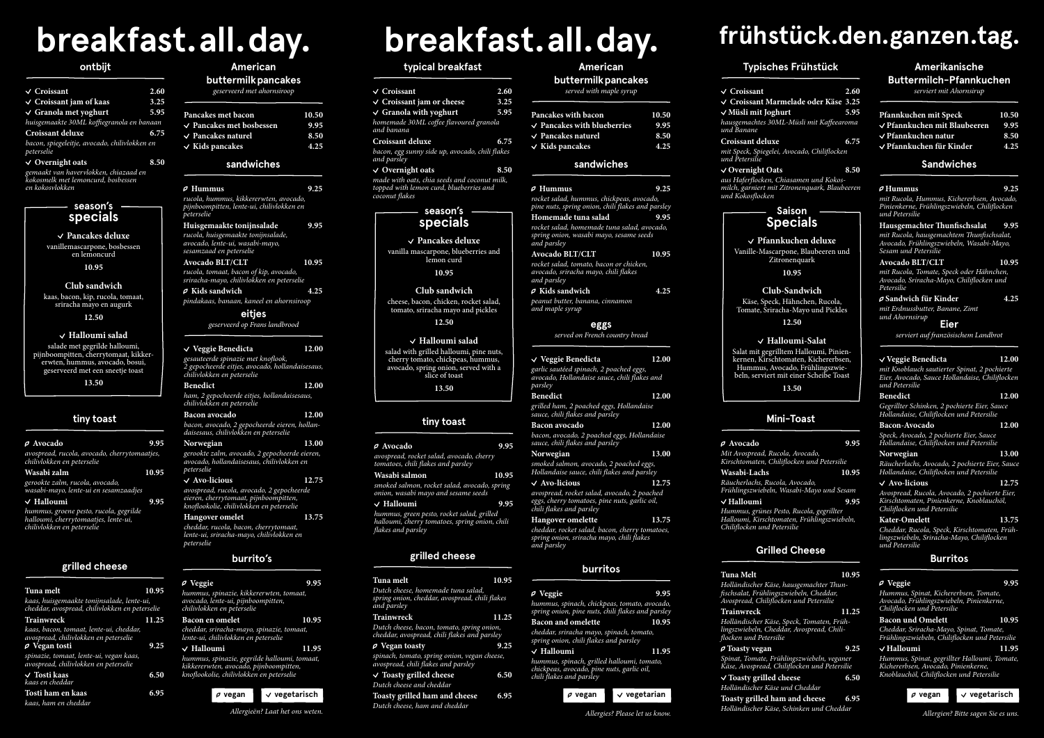# **frühstück.den.ganzen.tag.**

# **Amerikanische**

# **Buttermilch-Pfannkuchen**

*serviert mit Ahornsirup*

# **Pfannkuchen mit Speck 10.50 Pfannkuchen mit Blaubeeren 9.95 Pfannkuchen natur 8.50**

 **Pfannkuchen für Kinder 4.25**

# **Mini-Toast**

 **Avocado 9.95**

*Mit Avospread, Rucola, Avocado, Kirschtomaten, Chiliflocken und Petersilie*

**Wasabi-Lachs 10.95**

*Räucherlachs, Rucola, Avocado,* 

*Frühlingszwiebeln, Wasabi-Mayo und Sesam*

 **Halloumi 9.95** *Hummus, grünes Pesto, Rucola, gegrillter Halloumi, Kirschtomaten, Frühlingszwiebeln, Chiliflocken und Petersilie*

# **Sandwiches**

#### **Hummus 9.25**

*mit Rucola, Hummus, Kichererbsen, Avocado, Pinienkerne, Frühlingszwiebeln, Chiliflocken und Petersilie*

## **Hausgemachter Thunfischsalat 9.95**

*mit Rucola, hausgemachtem Thunfischsalat, Avocado, Frühlingszwiebeln, Wasabi-Mayo, Sesam und Petersilie* 

#### **Avocado BLT/CLT 10.95**

*mit Rucola, Tomate, Speck oder Hähnchen, Avocado, Sriracha-Mayo, Chiliflocken und Petersilie*

#### **Sandwich für Kinder 4.25**

*mit Erdnussbutter, Banane, Zimt und Ahornsirup*

# **Grilled Cheese**

## **Tuna Melt 10.95**

*Holländischer Käse, hausgemachter Thunfischsalat, Frühlingszwiebeln, Cheddar, Avospread, Chiliflocken und Petersilie*

**Trainwreck 11.25** *Holländischer Käse, Speck, Tomaten, Frühlingszwiebeln, Cheddar, Avospread, Chili-*

*flocken und Petersilie*  **Toasty vegan 9.25**

*Spinat, Tomate, Frühlingszwiebeln, veganer Käse, Avospread, Chiliflocken und Petersilie*

 **Toasty grilled cheese 6.50** *Holländischer Käse und Cheddar* **Toasty grilled ham and cheese 6.95**

*Holländischer Käse, Schinken und Cheddar*

 **Pfannkuchen deluxe** Vanille-Mascarpone, Blaubeeren und **Zitronenquark** 

# **Burritos**

 **Veggie 9.95** *Hummus, Spinat, Kichererbsen, Tomate, Avocado, Frühlingszwiebeln, Pinienkerne, Chiliflocken und Petersilie*

### **Bacon und Omelett 10.95**

*Cheddar, Sriracha-Mayo, Spinat, Tomate, Frühlingszwiebeln, Chiliflocken und Petersilie*

### **Halloumi 11.95**

*Hummus, Spinat, gegrillter Halloumi, Tomate, Kichererbsen, Avocado, Pinienkerne, Knoblauchöl, Chiliflocken und Petersilie*



# **Typisches Frühstück**

 **Croissant 2.60 Croissant Marmelade oder Käse 3.25 Müsli mit Joghurt 5.95** *hausgemachtes 30ML-Müsli mit Kaffeearoma* 

- 
- *und Banane*

**Croissant deluxe 6.75**

*mit Speck, Spiegelei, Avocado, Chiliflocken und Petersilie*

# **Overnight Oats 8.50**

*aus Haferflocken, Chiasamen und Kokosmilch, garniert mit Zitronenquark, Blaubeeren* 

*und Kokosflocken* 

**Eier**

*serviert auf französischem Landbrot*

## **Veggie Benedicta 12.00**

*mit Knoblauch sautierter Spinat, 2 pochierte Eier, Avocado, Sauce Hollandaise, Chiliflocken und Petersilie*

## **Benedict 12.00**

*Gegrillter Schinken, 2 pochierte Eier, Sauce Hollandaise, Chiliflocken und Petersilie*

**Bacon-Avocado 12.00** *Speck, Avocado, 2 pochierte Eier, Sauce Hollandaise, Chiliflocken und Petersilie*

**Norwegian 13.00** *Räucherlachs, Avocado, 2 pochierte Eier, Sauce Hollandaise, Chiliflocken und Petersilie*

### **Avo-licious 12.75**

*Avospread, Rucola, Avocado, 2 pochierte Eier, Kirschtomaten, Pinienkerne, Knoblauchöl, Chiliflocken und Petersilie*

**Kater-Omelett 13.75** *Cheddar, Rucola, Speck, Kirschtomaten, Frühlingszwiebeln, Sriracha-Mayo, Chiliflocken und Petersilie*

# **Saison Specials**

**10.95**

**Club-Sandwich** Käse, Speck, Hähnchen, Rucola, Tomate, Sriracha-Mayo und Pickles

**12.50**

 **Halloumi-Salat**

Salat mit gegrilltem Halloumi, Pinienkernen, Kirschtomaten, Kichererbsen, Hummus, Avocado, Frühlingszwiebeln, serviert mit einer Scheibe Toast

**13.50**

*Allergien? Bitte sagen Sie es uns.*

 **vegan vegetarisch**

# **breakfast.all.day.**

## **American buttermilkpancakes**

*served with maple syrup*

- **Pancakes with bacon 10.50 Pancakes with blueberries 9.95**
- **Pancakes naturel 8.50**
- **Kids pancakes 4.25**

#### **sandwiches**

# **grilled cheese**

#### **Tuna melt 10.95** *Dutch cheese, homemade tuna salad, spring onion, cheddar, avospread, chili flakes and parsley*

**Trainwreck 11.25** *Dutch cheese, bacon, tomato, spring onion, cheddar, avospread, chili flakes and parsley*

 **Vegan toasty 9.25** *spinach, tomato, spring onion, vegan cheese, avospread, chili flakes and parsley*

 **Toasty grilled cheese 6.50** *Dutch cheese and cheddar* **Toasty grilled ham and cheese 6.95**

*Dutch cheese, ham and cheddar*

## **burritos**

| <i>e</i> Hummus<br>rocket salad, hummus, chickpeas, avocado,                                                                 | 9.25  |
|------------------------------------------------------------------------------------------------------------------------------|-------|
| pine nuts, spring onion, chili flakes and parsley                                                                            |       |
| Homemade tuna salad<br>rocket salad, homemade tuna salad, avocado,<br>spring onion, wasabi mayo, sesame seeds<br>and parsley | 9.95  |
| <b>Avocado BLT/CLT</b>                                                                                                       | 10.95 |
| rocket salad, tomato, bacon or chicken,<br>avocado, sriracha mayo, chili flakes<br>and parsley                               |       |
| $\varrho$ Kids sandwich                                                                                                      | 4.25  |
| peanut butter, banana, cinnamon<br>and maple syrup                                                                           |       |
| eggs                                                                                                                         |       |
| served on French country bread                                                                                               |       |
|                                                                                                                              |       |
| $\vee$ Veggie Benedicta                                                                                                      | 12.00 |
| garlic sautéed spinach, 2 poached eggs,<br>avocado, Hollandaise sauce, chili flakes and<br>parsley                           |       |
| <b>Benedict</b>                                                                                                              | 12.00 |
| grilled ham, 2 poached eggs, Hollandaise<br>sauce, chili flakes and parsley                                                  |       |
| <b>Bacon</b> avocado                                                                                                         | 12.00 |
| bacon, avocado, 2 poached eggs, Hollandaise<br>sauce, chili flakes and parsley                                               |       |
| Norwegian                                                                                                                    | 13.00 |

| $\rho$ Veggie                                                                                                        | 9.95  |
|----------------------------------------------------------------------------------------------------------------------|-------|
| hummus, spinach, chickpeas, tomato, avocado,<br>spring onion, pine nuts, chili flakes and parsley                    |       |
| <b>Bacon and omelette</b>                                                                                            | 10.95 |
| cheddar, sriracha mayo, spinach, tomato,<br>spring onion, chili flakes and parsley                                   |       |
| $\vee$ Halloumi                                                                                                      | 11.95 |
| hummus, spinach, grilled halloumi, tomato,<br>chickpeas, avocado, pine nuts, garlic oil,<br>chili flakes and parsley |       |

| $\vee$ Croissant                                                                                                                       |       |
|----------------------------------------------------------------------------------------------------------------------------------------|-------|
|                                                                                                                                        | 2.60  |
| √ Croissant jam or cheese                                                                                                              | 3.25  |
| $\vee$ Granola with yoghurt                                                                                                            | 5.95  |
| homemade 30ML coffee flavoured granola<br>and banana                                                                                   |       |
| Croissant deluxe                                                                                                                       | 6.75  |
| bacon, egg sunny side up, avocado, chili flakes<br>and parsley                                                                         |       |
| $\vee$ Overnight oats                                                                                                                  | 8.50  |
| made with oats, chia seeds and coconut milk,<br>topped with lemon curd, blueberries and<br>coconut flakes                              |       |
| season's                                                                                                                               |       |
| specials                                                                                                                               |       |
| $\vee$ Pancakes deluxe                                                                                                                 |       |
| vanilla mascarpone, blueberries and<br>lemon curd                                                                                      |       |
| 10.95                                                                                                                                  |       |
| Club sandwich                                                                                                                          |       |
| cheese, bacon, chicken, rocket salad,<br>tomato, sriracha mayo and pickles                                                             |       |
| 12.50                                                                                                                                  |       |
| / Halloumi salad                                                                                                                       |       |
| salad with grilled halloumi, pine nuts,<br>cherry tomato, chickpeas, hummus,<br>avocado, spring onion, served with a<br>slice of toast |       |
| 13.50                                                                                                                                  |       |
|                                                                                                                                        |       |
|                                                                                                                                        |       |
| tiny toast                                                                                                                             |       |
| ρ Avocado                                                                                                                              | 9.95  |
| avospread, rocket salad, avocado, cherry<br>tomatoes, chili flakes and parsley                                                         |       |
| Wasabi salmon                                                                                                                          | 10.95 |
| smoked salmon, rocket salad, avocado, spring                                                                                           |       |
| onion, wasabi mayo and sesame seeds                                                                                                    |       |
| $\sqrt{}$ Halloumi                                                                                                                     | 9.95  |
| hummus, green pesto, rocket salad, grilled<br>halloumi, cherry tomatoes, spring onion, chili<br>flakes and parsley                     |       |
|                                                                                                                                        |       |
|                                                                                                                                        |       |

### **typical breakfast**

 **Avo-licious 12.75** *avospread, rocket salad, avocado, 2 poached eggs, cherry tomatoes, pine nuts, garlic oil,* 

*chili flakes and parsley* **Hangover omelette 13.75** *cheddar, rocket salad, bacon, cherry tomatoes, spring onion, sriracha mayo, chili flakes and parsley*

*Allergies? Please let us know.*



# **season's specials**

#### **Pancakes deluxe** vanillemascarpone, bosbessen en lemoncurd

**10.95**

#### **Club sandwich**

kaas, bacon, kip, rucola, tomaat, sriracha mayo en augurk

**12.50**

# **Halloumi salad**

salade met gegrilde halloumi, pijnboompitten, cherrytomaat, kikkererwten, hummus, avocado, bosui, geserveerd met een sneetje toast

**13.50**

*Allergieën? Laat het ons weten.*

# **breakfast.all.day.**

# **American**

**buttermilkpancakes**

| geserveerd met ahornsiroop |       |
|----------------------------|-------|
| Pancakes met bacon         | 10.50 |

| $\vee$ Pancakes met bosbessen | 9.95 |
|-------------------------------|------|
| $\vee$ Pancakes naturel       | 8.50 |
| $\vee$ Kids pancakes          | 4.25 |

# **tiny toast**

| $\rho$ Avocado                                                                                               | 9.95  |
|--------------------------------------------------------------------------------------------------------------|-------|
| avospread, rucola, avocado, cherrytomaatjes,<br>chilivlokken en peterselie                                   |       |
| Wasabi zalm                                                                                                  | 10.95 |
| gerookte zalm, rucola, avocado,<br>wasabi-mayo, lente-ui en sesamzaadjes                                     |       |
| $\vee$ Halloumi                                                                                              | 9.95  |
| hummus, groene pesto, rucola, gegrilde<br>halloumi, cherrytomaatjes, lente-ui,<br>chilivlokken en peterselie |       |
|                                                                                                              |       |
|                                                                                                              |       |

### **sandwiches**

| $\rho$ Hummus<br>rucola, hummus, kikkererwten, avocado,<br>pijnboompitten, lente-ui, chilivlokken en<br>peterselie | 9.25 |
|--------------------------------------------------------------------------------------------------------------------|------|
| Huisgemaakte tonijnsalade                                                                                          | 9.95 |

*rucola, huisgemaakte tonijnsalade, avocado, lente-ui, wasabi-mayo, sesamzaad en peterselie*  **Avocado BLT/CLT 10.95**

*rucola, tomaat, bacon of kip, avocado, sriracha-mayo, chilivlokken en peterselie*

| <b>P</b> Veggie                                                                                                                           | 9.95               |
|-------------------------------------------------------------------------------------------------------------------------------------------|--------------------|
| hummus, spinazie, kikkererwten, tomaat,<br>avocado, lente-ui, pijnboompitten,<br>chilivlokken en peterselie                               |                    |
| Bacon en omelet                                                                                                                           | 10.95              |
| <u>cheddar, sr</u> iracha-mayo, spinazie, tomaat,<br>lente-ui, chilivlokken en peterselie                                                 |                    |
| $\lor$ Halloumi                                                                                                                           | 11.95              |
| hummus, spinazie, gegrilde halloumi, tomaat,<br>kikkererwten, avocado, pijnboompitten,<br>knoflookolie, chilivlokken en <u>peterselie</u> |                    |
| $\rho$ vegan                                                                                                                              | $\vee$ vegetarisch |

 **Kids sandwich 4.25** *pindakaas, banaan, kaneel en ahornsiroop*

# **grilled cheese**

| Tuna melt                                                                                                 | 10.95 |
|-----------------------------------------------------------------------------------------------------------|-------|
| kaas, huisgemaakte tonijnsalade, lente-ui,<br>cheddar, avospread, chilivlokken en peterselie              |       |
| Trainwreck                                                                                                | 11.25 |
| kaas, bacon, tomaat, lente-ui, cheddar,<br>avospread, chilivlokken en peterselie<br>$\varphi$ Vegan tosti | 9.25  |
| spinazie, tomaat, lente-ui, vegan kaas,<br>avospread, chilivlokken en peterselie                          |       |
| √ Tosti kaas<br>kaas en cheddar                                                                           | 6.50  |
| <u>Tosti</u> ham en kaas                                                                                  | 6.95  |
| kaas, ham en cheddar                                                                                      |       |

# **burrito's**

#### **ontbijt**

| $\vee$ Croissant                                            | 2.60 |
|-------------------------------------------------------------|------|
| $\vee$ Croissant jam of kaas                                | 3.25 |
| $\vee$ Granola met yoghurt                                  | 5.95 |
| huisgemaakte 30ML koffiegranola en banaan                   |      |
| <b>Croissant deluxe</b>                                     | 6.75 |
| bacon, spiegeleitje, avocado, chilivlokken en<br>peterselie |      |
| $\vee$ Overnight oats                                       | 8.50 |
| gemaakt van havervlokken, chiazaad en                       |      |

*kokosmelk met lemoncurd, bosbessen en kokosvlokken*

> **eitjes** *geserveerd op Frans landbrood*

#### **Veggie Benedicta 12.00** *gesauteerde spinazie met knoflook, 2 gepocheerde eitjes, avocado, hollandaisesaus, chilivlokken en peterselie* **Benedict 12.00**

*ham, 2 gepocheerde eitjes, hollandaisesaus, chilivlokken en peterselie*

**Bacon avocado 12.00** *bacon, avocado, 2 gepocheerde eieren, hollandaisesaus, chilivlokken en peterselie*

**Norwegian 13.00** *gerookte zalm, avocado, 2 gepocheerde eieren, avocado, hollandaisesaus, chilivlokken en peterselie*  **Avo-licious 12.75**

*avospread, rucola, avocado, 2 gepocheerde eieren, cherrytomaat, pijnboompitten, knoflookolie, chilivlokken en peterselie*

**Hangover omelet 13.75** *cheddar, rucola, bacon, cherrytomaat, lente-ui, sriracha-mayo, chilivlokken en peterselie*